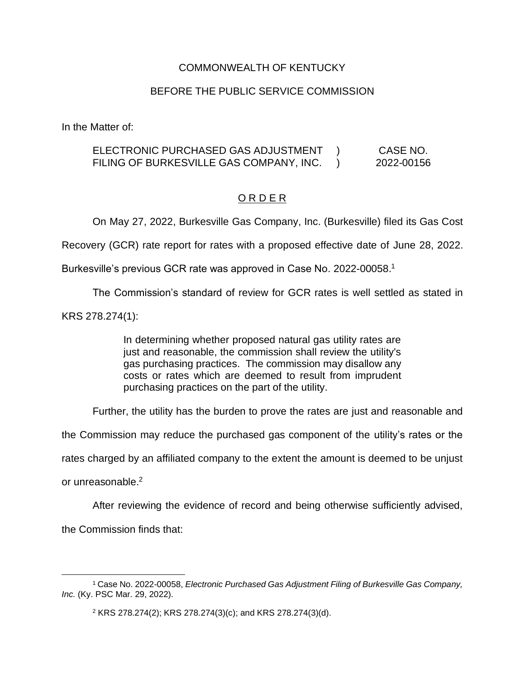#### COMMONWEALTH OF KENTUCKY

#### BEFORE THE PUBLIC SERVICE COMMISSION

In the Matter of:

#### ELECTRONIC PURCHASED GAS ADJUSTMENT FILING OF BURKESVILLE GAS COMPANY, INC. ) ) CASE NO. 2022-00156

### O R D E R

On May 27, 2022, Burkesville Gas Company, Inc. (Burkesville) filed its Gas Cost

Recovery (GCR) rate report for rates with a proposed effective date of June 28, 2022.

Burkesville's previous GCR rate was approved in Case No. 2022-00058.<sup>1</sup>

The Commission's standard of review for GCR rates is well settled as stated in

KRS 278.274(1):

In determining whether proposed natural gas utility rates are just and reasonable, the commission shall review the utility's gas purchasing practices. The commission may disallow any costs or rates which are deemed to result from imprudent purchasing practices on the part of the utility.

Further, the utility has the burden to prove the rates are just and reasonable and

the Commission may reduce the purchased gas component of the utility's rates or the

rates charged by an affiliated company to the extent the amount is deemed to be unjust

or unreasonable.<sup>2</sup>

After reviewing the evidence of record and being otherwise sufficiently advised,

the Commission finds that:

<sup>1</sup> Case No. 2022-00058, *Electronic Purchased Gas Adjustment Filing of Burkesville Gas Company, Inc.* (Ky. PSC Mar. 29, 2022).

<sup>2</sup> KRS 278.274(2); KRS 278.274(3)(c); and KRS 278.274(3)(d).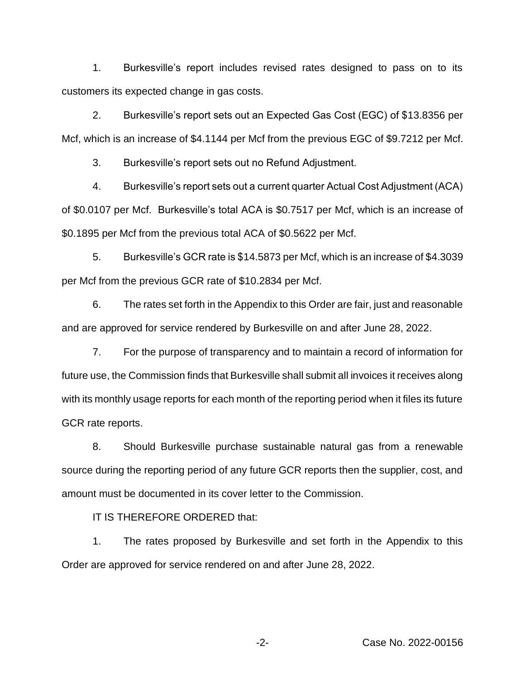1. Burkesville's report includes revised rates designed to pass on to its customers its expected change in gas costs.

2. Burkesville's report sets out an Expected Gas Cost (EGC) of \$13.8356 per Mcf, which is an increase of \$4.1144 per Mcf from the previous EGC of \$9.7212 per Mcf.

3. Burkesville's report sets out no Refund Adjustment.

4. Burkesville's report sets out a current quarter Actual Cost Adjustment (ACA) of \$0.0107 per Mcf. Burkesville's total ACA is \$0.7517 per Mcf, which is an increase of \$0.1895 per Mcf from the previous total ACA of \$0.5622 per Mcf.

5. Burkesville's GCR rate is \$14.5873 per Mcf, which is an increase of \$4.3039 per Mcf from the previous GCR rate of \$10.2834 per Mcf.

6. The rates set forth in the Appendix to this Order are fair, just and reasonable and are approved for service rendered by Burkesville on and after June 28, 2022.

7. For the purpose of transparency and to maintain a record of information for future use, the Commission finds that Burkesville shall submit all invoices it receives along with its monthly usage reports for each month of the reporting period when it files its future GCR rate reports.

8. Should Burkesville purchase sustainable natural gas from a renewable source during the reporting period of any future GCR reports then the supplier, cost, and amount must be documented in its cover letter to the Commission.

IT IS THEREFORE ORDERED that:

1. The rates proposed by Burkesville and set forth in the Appendix to this Order are approved for service rendered on and after June 28, 2022.

-2- Case No. 2022-00156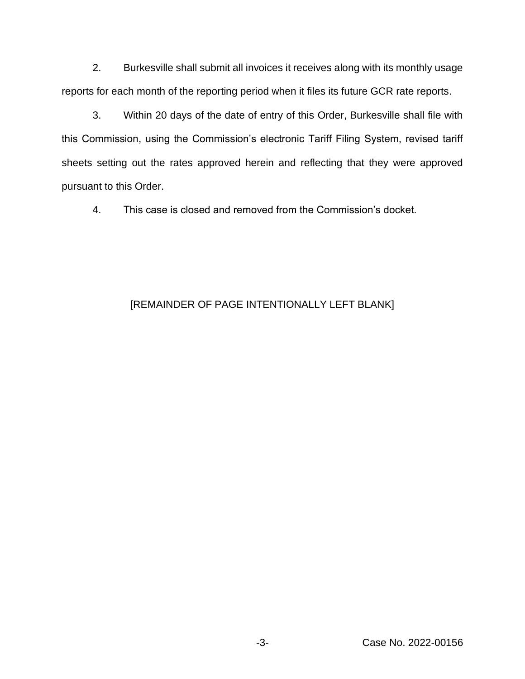2. Burkesville shall submit all invoices it receives along with its monthly usage reports for each month of the reporting period when it files its future GCR rate reports.

3. Within 20 days of the date of entry of this Order, Burkesville shall file with this Commission, using the Commission's electronic Tariff Filing System, revised tariff sheets setting out the rates approved herein and reflecting that they were approved pursuant to this Order.

4. This case is closed and removed from the Commission's docket.

# [REMAINDER OF PAGE INTENTIONALLY LEFT BLANK]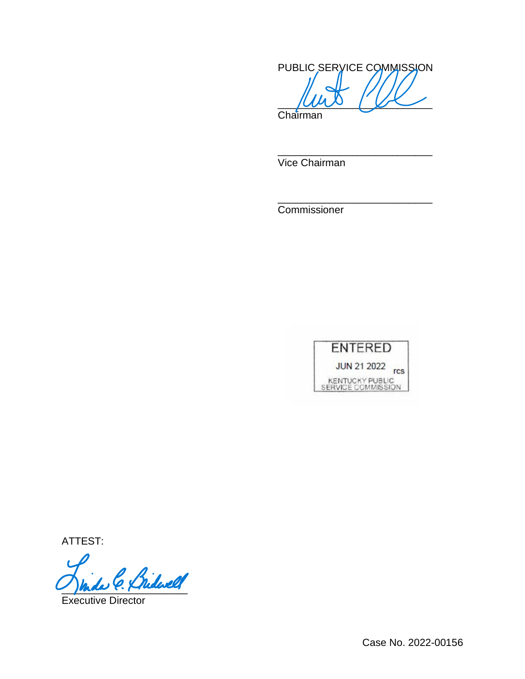PUBLIC SERVICE COMMISSION  $\sim$   $\sim$   $\sim$ 

\_\_\_\_\_\_\_\_\_\_\_\_\_\_\_\_\_\_\_\_\_\_\_\_\_\_\_

\_\_\_\_\_\_\_\_\_\_\_\_\_\_\_\_\_\_\_\_\_\_\_\_\_\_\_

Chairman

Vice Chairman

Commissioner



ATTEST:

Bridwell

Executive Director

Case No. 2022-00156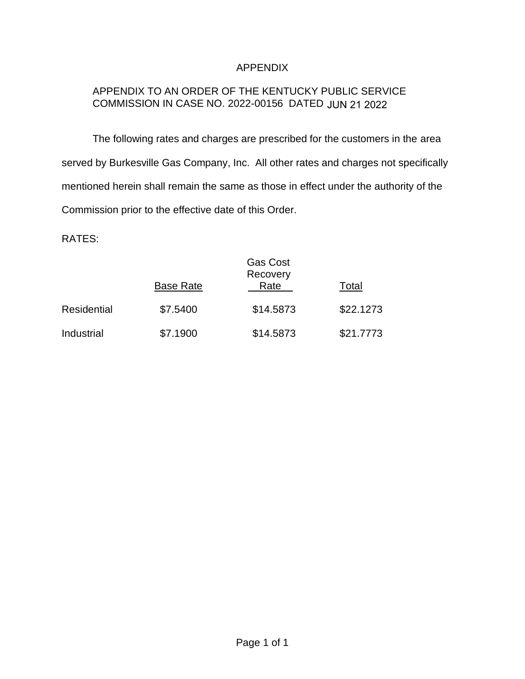### APPENDIX

## APPENDIX TO AN ORDER OF THE KENTUCKY PUBLIC SERVICE COMMISSION IN CASE NO. 2022-00156 DATED JUN 21 2022

The following rates and charges are prescribed for the customers in the area served by Burkesville Gas Company, Inc. All other rates and charges not specifically mentioned herein shall remain the same as those in effect under the authority of the Commission prior to the effective date of this Order.

RATES:

|                    | <b>Base Rate</b> | <b>Gas Cost</b><br>Recovery<br>Rate | Total     |
|--------------------|------------------|-------------------------------------|-----------|
| <b>Residential</b> | \$7.5400         | \$14.5873                           | \$22.1273 |
| Industrial         | \$7.1900         | \$14.5873                           | \$21.7773 |